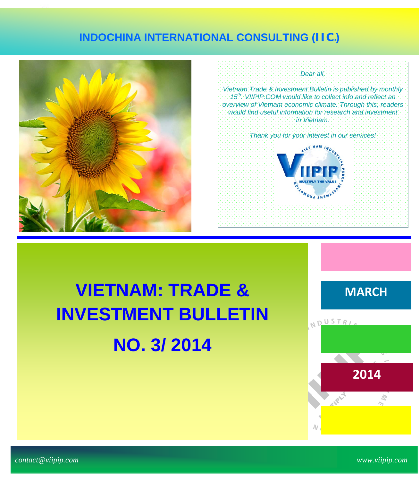#### $k = 1, k = 1, k = 2, ..., m$ **INDOCHINA INTERNATIONAL CONSULTING (IIC.)**



would find useful information for research and investment in Vietnam.<br> *in Vietnam Dear all, Vietnam Trade & Investment Bulletin is published by monthly 15th. VIIPIP.COM would like to collect info and reflect an overview of Vietnam economic climate. Through this, readers in Vietnam.*

*Thank y[ou for your interest in our se](http://www.viipip.com/homeen/)rvices!* 



# **VIETNAM: TRADE & INVESTMENT BULLETIN NO. 3/ 2014**



**MARCH**

*contact@viipip.com* 1 *www.viipip.com [contact@viipip.com](mailto:contact@viipip.com) www.viipip.com*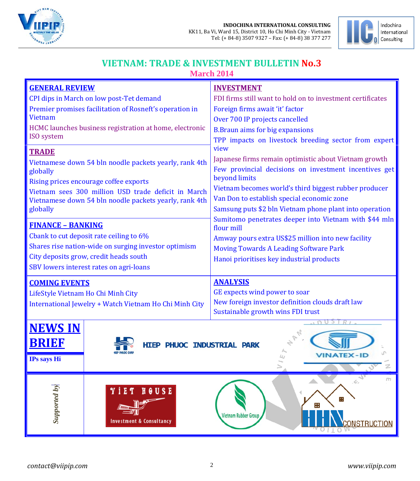



# **VIETNAM: TRADE & INVESTMENT BULLETIN No.3**

**March 2014**

| <b>GENERAL REVIEW</b>                                   | <b>INVESTMENT</b>                                                   |
|---------------------------------------------------------|---------------------------------------------------------------------|
| CPI dips in March on low post-Tet demand                | FDI firms still want to hold on to investment certificates          |
| Premier promises facilitation of Rosneft's operation in | Foreign firms await 'it' factor                                     |
| <b>Vietnam</b>                                          | Over 700 IP projects cancelled                                      |
| HCMC launches business registration at home, electronic | <b>B.Braun aims for big expansions</b>                              |
| ISO system                                              | TPP impacts on livestock breeding sector from expert                |
| <b>TRADE</b>                                            | view                                                                |
| Vietnamese down 54 bln noodle packets yearly, rank 4th  | Japanese firms remain optimistic about Vietnam growth               |
| globally                                                | Few provincial decisions on investment incentives get               |
| Rising prices encourage coffee exports                  | beyond limits                                                       |
| Vietnam sees 300 million USD trade deficit in March     | Vietnam becomes world's third biggest rubber producer               |
| Vietnamese down 54 bln noodle packets yearly, rank 4th  | Van Don to establish special economic zone                          |
| globally                                                | Samsung puts \$2 bln Vietnam phone plant into operation             |
| <b>FINANCE - BANKING</b>                                | Sumitomo penetrates deeper into Vietnam with \$44 mln<br>flour mill |
| Chank to cut deposit rate ceiling to 6%                 | Amway pours extra US\$25 million into new facility                  |
| Shares rise nation-wide on surging investor optimism    | <b>Moving Towards A Leading Software Park</b>                       |
| City deposits grow, credit heads south                  | Hanoi prioritises key industrial products                           |
| SBV lowers interest rates on agri-loans                 |                                                                     |
| <b>COMING EVENTS</b>                                    | <b>ANALYSIS</b>                                                     |
| LifeStyle Vietnam Ho Chi Minh City                      | GE expects wind power to soar                                       |
| International Jewelry + Watch Vietnam Ho Chi Minh City  | New foreign investor definition clouds draft law                    |
|                                                         | Sustainable growth wins FDI trust                                   |
| <b>NEWS IN</b>                                          |                                                                     |
|                                                         |                                                                     |
| <b>BRIEF</b><br>PHUOC INDUSTRIAL PARK                   |                                                                     |
| <b>IPs says Hi</b>                                      | <b>NATEX-ID</b>                                                     |





 $\overline{\phantom{a}}$ 

*Supported by*

Supported by

**CONSTRUCTION** 

z

 $\Gamma\Gamma$ 

Ī

m

æ

 $1$  TO  $\Lambda$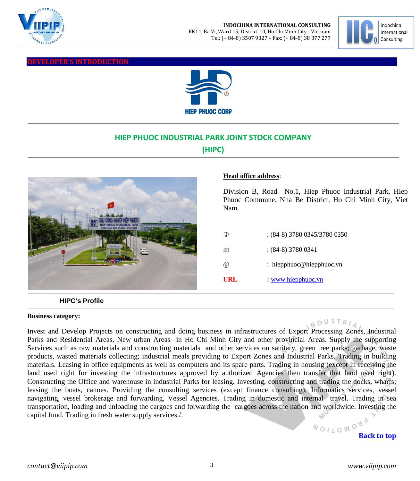

**Head office address**:

Nam.

Division B, Road No.1, Hiep Phuoc Industrial Park, Hiep Phuoc Commune, Nha Be District, Ho Chi Minh City, Viet

 $\bullet$  : (84-8) 3780 0345/3780 0350

@ : hiepphuoc@hiepphuoc.vn

 $\Box$  (84-8) 3780 0341

**URL :** [www.hiepphuoc.vn](http://www.hiepphuoc.vn/)



<span id="page-2-0"></span>**DEVELOPER'S INTRODUCTION**



## **HIEP PHUOC INDUSTRIAL PARK JOINT STOCK COMPANY (HIPC)**



 **HIPC's Profile**

#### **Business category:**

NDUSTRIA Invest and Develop Projects on constructing and doing business in infrastructures of Export Processing Zones, Industrial Parks and Residential Areas, New urban Areas in Ho Chi Minh City and other provincial Areas. Supply the supporting Services such as raw materials and constructing materials and other services on sanitary, green tree parks; garbage, waste products, wasted materials collecting; industrial meals providing to Export Zones and Industrial Parks. Trading in building materials. Leasing in office equipments as well as computers and its spare parts. Trading in housing (except in receiving the land used right for investing the infrastructures approved by authorized Agencies then transfer that land used right). Constructing the Office and warehouse in industrial Parks for leasing. Investing, constructing and trading the docks, wharfs; leasing the boats, canoes. Providing the consulting services (except finance consulting), Informatics services, vessel navigating, vessel brokerage and forwarding, Vessel Agencies. Trading in domestic and internal travel. Trading in sea transportation, loading and unloading the cargoes and forwarding the cargoes across the nation and worldwide. Investing the capital fund. Trading in fresh water supply services./.

*N* O<sub>LLO</sub> M<sup>ON</sup><sup>3</sup><br>Back to top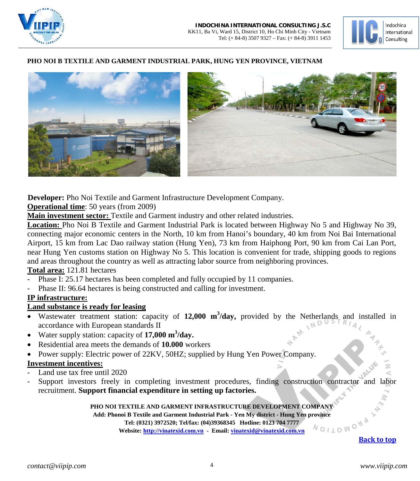



#### **PHO NOI B TEXTILE AND GARMENT INDUSTRIAL PARK, HUNG YEN PROVINCE, VIETNAM**



 **Developer:** Pho Noi Textile and Garment Infrastructure Development Company.

**Operational time**: 50 years (from 2009)

**Main investment sector:** Textile and Garment industry and other related industries.

**Location:** Pho Noi B Textile and Garment Industrial Park is located between Highway No 5 and Highway No 39, connecting major economic centers in the North, 10 km from Hanoi's boundary, 40 km from Noi Bai International Airport, 15 km from Lac Dao railway station (Hung Yen), 73 km from Haiphong Port, 90 km from Cai Lan Port, near Hung Yen customs station on Highway No 5. This location is convenient for trade, shipping goods to regions and areas throughout the country as well as attracting labor source from neighboring provinces.

## **Total area:** 121.81 hectares

- Phase I: 25.17 hectares has been completed and fully occupied by 11 companies.
- Phase II: 96.64 hectares is being constructed and calling for investment.

#### **IP infrastructure:**

## **Land substance is ready for leasing**

- Wastewater treatment station: capacity of 12,000 m<sup>3</sup>/day, provided by the Netherlands and installed in accordance with European standards II
- Water supply station: capacity of 17,000 m<sup>3</sup>/day.
- Residential area meets the demands of **10.000** workers
- Power supply: Electric power of 22KV, 50HZ; supplied by Hung Yen Power Company.

#### **Investment incentives:**

- Land use tax free until 2020
- Support investors freely in completing investment procedures, finding construction contractor and labor recruitment. **Support financial expenditure in setting up factories.**

**PHO NOI TEXTILE AND GARMENT INFRASTRUCTURE DEVELOPMENT COMPANY**

**Add: Phonoi B Textile and Garment Industrial Park - Yen My district - Hung Yen province**

**Tel: (0321) 3972520; Tel/fax: (04)39368345 Hotline: 0123 704 7777**

**Website: [http://vinatexid.com.vn](http://vinatexid.com.vn/) - Email: [vinatexid@vinatexid.com.vn](mailto:vinatexid@vinatexid.com.vn)**

**Back to top**

NOILONO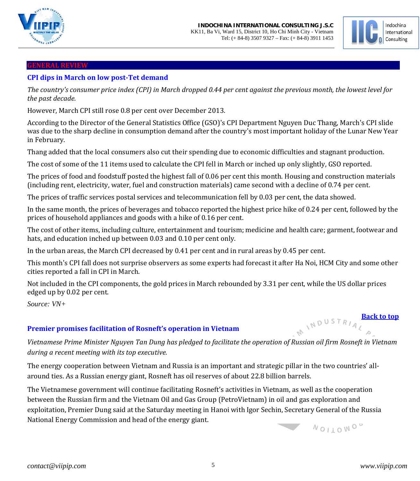



#### <span id="page-4-0"></span>**GENERAL REVIEW**

#### <span id="page-4-1"></span>**CPI dips in March on low post-Tet demand**

*The country's consumer price index (CPI) in March dropped 0.44 per cent against the previous month, the lowest level for the past decade.*

However, March CPI still rose 0.8 per cent over December 2013.

According to the Director of the General Statistics Office (GSO)'s CPI Department Nguyen Duc Thang, March's CPI slide was due to the sharp decline in consumption demand after the country's most important holiday of the Lunar New Year in February.

Thang added that the local consumers also cut their spending due to economic difficulties and stagnant production.

The cost of some of the 11 items used to calculate the CPI fell in March or inched up only slightly, GSO reported.

The prices of food and foodstuff posted the highest fall of 0.06 per cent this month. Housing and construction materials (including rent, electricity, water, fuel and construction materials) came second with a decline of 0.74 per cent.

The prices of traffic services postal services and telecommunication fell by 0.03 per cent, the data showed.

In the same month, the prices of beverages and tobacco reported the highest price hike of 0.24 per cent, followed by the prices of household appliances and goods with a hike of 0.16 per cent.

The cost of other items, including culture, entertainment and tourism; medicine and health care; garment, footwear and hats, and education inched up between 0.03 and 0.10 per cent only.

In the urban areas, the March CPI decreased by 0.41 per cent and in rural areas by 0.45 per cent.

This month's CPI fall does not surprise observers as some experts had forecast it after Ha Noi, HCM City and some other cities reported a fall in CPI in March.

Not included in the CPI components, the gold prices in March rebounded by 3.31 per cent, while the US dollar prices edged up by 0.02 per cent.

*Source: VN+*

#### <span id="page-4-2"></span>**Premier promises facilitation of Rosneft's operation in Vietnam**

*Vietnamese Prime Minister Nguyen Tan Dung has pledged to facilitate the operation of Russian oil firm Rosneft in Vietnam during a recent meeting with its top executive.*

The energy cooperation between Vietnam and Russia is an important and strategic pillar in the two countries' allaround ties. As a Russian energy giant, Rosneft has oil reserves of about 22.8 billion barrels.

The Vietnamese government will continue facilitating Rosneft's activities in Vietnam, as well as the cooperation between the Russian firm and the Vietnam Oil and Gas Group (PetroVietnam) in oil and gas exploration and exploitation, Premier Dung said at the Saturday meeting in Hanoi with Igor Sechin, Secretary General of the Russia National Energy Commission and head of the energy giant.NOILONO"

**Back to top**

MINDUSTRIA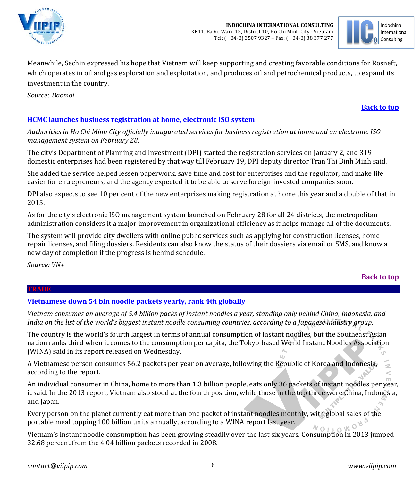



Meanwhile, Sechin expressed his hope that Vietnam will keep supporting and creating favorable conditions for Rosneft, which operates in oil and gas exploration and exploitation, and produces oil and petrochemical products, to expand its investment in the country.

*Source: Baomoi*

#### **Back to top**

## <span id="page-5-0"></span>**HCMC launches business registration at home, electronic ISO system**

*Authorities in Ho Chi Minh City officially inaugurated services for business registration at home and an electronic ISO management system on February 28.*

The city's Department of Planning and Investment (DPI) started the registration services on January 2, and 319 domestic enterprises had been registered by that way till February 19, DPI deputy director Tran Thi Binh Minh said.

She added the service helped lessen paperwork, save time and cost for enterprises and the regulator, and make life easier for entrepreneurs, and the agency expected it to be able to serve foreign-invested companies soon.

DPI also expects to see 10 per cent of the new enterprises making registration at home this year and a double of that in 2015.

As for the city's electronic ISO management system launched on February 28 for all 24 districts, the metropolitan administration considers it a major improvement in organizational efficiency as it helps manage all of the documents.

The system will provide city dwellers with online public services such as applying for construction licenses, home repair licenses, and filing dossiers. Residents can also know the status of their dossiers via email or SMS, and know a new day of completion if the progress is behind schedule.

*Source: VN+*

#### **Back to top**

#### <span id="page-5-1"></span>**TRADE**

## **Vietnamese down 54 bln noodle packets yearly, rank 4th globally**

*Vietnam consumes an average of 5.4 billion packs of instant noodles a year, standing only behind China, Indonesia, and India on the list of the world's biggest instant noodle consuming countries, according to a Japanese industry group.*

The country is the world's fourth largest in terms of annual consumption of instant noodles, but the Southeast Asian nation ranks third when it comes to the consumption per capita, the Tokyo-based World Instant Noodles Association (WINA) said in its report released on Wednesday.

A Vietnamese person consumes 56.2 packets per year on average, following the Republic of Korea and Indonesia,  $\overline{z}$ according to the report.  $\,<\,$ 

An individual consumer in China, home to more than 1.3 billion people, eats only 36 packets of instant noodles per year, it said. In the 2013 report, Vietnam also stood at the fourth position, while those in the top three were China, Indonesia, and Japan.

Every person on the planet currently eat more than one packet of instant noodles monthly, with global sales of the portable meal topping 100 billion units annually, according to a WINA report last year. portable meal topping 100 billion units annually, according to a WINA report last year.

Vietnam's instant noodle consumption has been growing steadily over the last six years. Consumption in 2013 jumped 32.68 percent from the 4.04 billion packets recorded in 2008.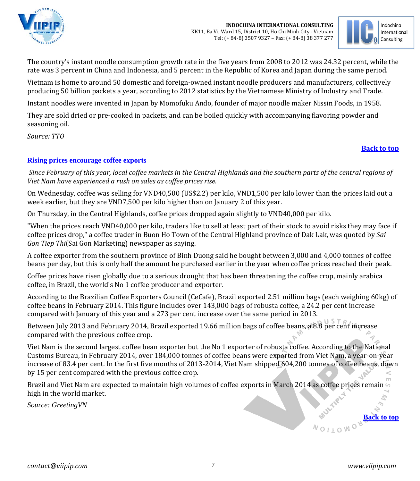



The country's instant noodle consumption growth rate in the five years from 2008 to 2012 was 24.32 percent, while the rate was 3 percent in China and Indonesia, and 5 percent in the Republic of Korea and Japan during the same period.

Vietnam is home to around 50 domestic and foreign-owned instant noodle producers and manufacturers, collectively producing 50 billion packets a year, according to 2012 statistics by the Vietnamese Ministry of Industry and Trade.

Instant noodles were invented in Japan by Momofuku Ando, founder of major noodle maker Nissin Foods, in 1958.

They are sold dried or pre-cooked in packets, and can be boiled quickly with accompanying flavoring powder and seasoning oil.

*Source: TTO*

#### **Back to top**

#### <span id="page-6-0"></span>**Rising prices encourage coffee exports**

*Since February of this year, local coffee markets in the Central Highlands and the southern parts of the central regions of Viet Nam have experienced a rush on sales as coffee prices rise.*

On Wednesday, coffee was selling for VND40,500 (US\$2.2) per kilo, VND1,500 per kilo lower than the prices laid out a week earlier, but they are VND7,500 per kilo higher than on January 2 of this year.

On Thursday, in the Central Highlands, coffee prices dropped again slightly to VND40,000 per kilo.

"When the prices reach VND40,000 per kilo, traders like to sell at least part of their stock to avoid risks they may face if coffee prices drop," a coffee trader in Buon Ho Town of the Central Highland province of Dak Lak, was quoted by *Sai Gon Tiep Thi*(Sai Gon Marketing) newspaper as saying.

A coffee exporter from the southern province of Binh Duong said he bought between 3,000 and 4,000 tonnes of coffee beans per day, but this is only half the amount he purchased earlier in the year when coffee prices reached their peak.

Coffee prices have risen globally due to a serious drought that has been threatening the coffee crop, mainly arabica coffee, in Brazil, the world's No 1 coffee producer and exporter.

According to the Brazilian Coffee Exporters Council (CeCafe), Brazil exported 2.51 million bags (each weighing 60kg) of coffee beans in February 2014. This figure includes over 143,000 bags of robusta coffee, a 24.2 per cent increase compared with January of this year and a 273 per cent increase over the same period in 2013.

Between July 2013 and February 2014, Brazil exported 19.66 million bags of coffee beans, a 8.8 per cent increase compared with the previous coffee crop.

Viet Nam is the second largest coffee bean exporter but the No 1 exporter of robusta coffee. According to the National Customs Bureau, in February 2014, over 184,000 tonnes of coffee beans were exported from Viet Nam, a year-on-year increase of 83.4 per cent. In the first five months of 2013-2014, Viet Nam shipped 604,200 tonnes of coffee beans, down by 15 per cent compared with the previous coffee crop.

Brazil and Viet Nam are expected to maintain high volumes of coffee exports in March 2014 as coffee prices remain high in the world market.

<span id="page-6-1"></span>*Source: GreetingVN*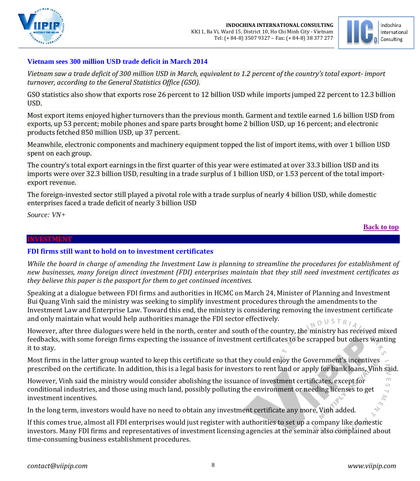



**Back to top**

#### **Vietnam sees 300 million USD trade deficit in March 2014**

*Vietnam saw a trade deficit of 300 million USD in March, equivalent to 1.2 percent of the country's total export- import turnover, according to the General Statistics Office (GSO).*

GSO statistics also show that exports rose 26 percent to 12 billion USD while imports jumped 22 percent to 12.3 billion USD.

Most export items enjoyed higher turnovers than the previous month. Garment and textile earned 1.6 billion USD from exports, up 53 percent; mobile phones and spare parts brought home 2 billion USD, up 16 percent; and electronic products fetched 850 million USD, up 37 percent.

Meanwhile, electronic components and machinery equipment topped the list of import items, with over 1 billion USD spent on each group.

The country's total export earnings in the first quarter of this year were estimated at over 33.3 billion USD and its imports were over 32.3 billion USD, resulting in a trade surplus of 1 billion USD, or 1.53 percent of the total importexport revenue.

The foreign-invested sector still played a pivotal role with a trade surplus of nearly 4 billion USD, while domestic enterprises faced a trade deficit of nearly 3 billion USD

*Source: VN+*

#### <span id="page-7-0"></span>**INVESTMENT**

#### <span id="page-7-1"></span>**FDI firms still want to hold on to investment certificates**

*While the board in charge of amending the Investment Law is planning to streamline the procedures for establishment of new businesses, many foreign direct investment (FDI) enterprises maintain that they still need investment certificates as they believe this paper is the passport for them to get continued incentives.*

Speaking at a dialogue between FDI firms and authorities in HCMC on March 24, Minister of Planning and Investment Bui Quang Vinh said the ministry was seeking to simplify investment procedures through the amendments to the Investment Law and Enterprise Law. Toward this end, the ministry is considering removing the investment certificate and only maintain what would help authorities manage the FDI sector effectively. NDUSTRIA

However, after three dialogues were held in the north, center and south of the country, the ministry has received mixed feedbacks, with some foreign firms expecting the issuance of investment certificates to be scrapped but others wanting it to stay.

Most firms in the latter group wanted to keep this certificate so that they could enjoy the Government's incentives prescribed on the certificate. In addition, this is a legal basis for investors to rent land or apply for bank loans, Vinh said.

However, Vinh said the ministry would consider abolishing the issuance of investment certificates, except for conditional industries, and those using much land, possibly polluting the environment or needing licenses to get investment incentives.

In the long term, investors would have no need to obtain any investment certificate any more, Vinh added.

If this comes true, almost all FDI enterprises would just register with authorities to set up a company like domestic investors. Many FDI firms and representatives of investment licensing agencies at the seminar also complained about time-consuming business establishment procedures.

S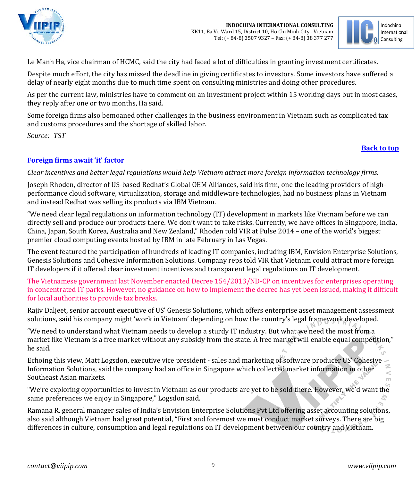



Le Manh Ha, vice chairman of HCMC, said the city had faced a lot of difficulties in granting investment certificates.

Despite much effort, the city has missed the deadline in giving certificates to investors. Some investors have suffered a delay of nearly eight months due to much time spent on consulting ministries and doing other procedures.

As per the current law, ministries have to comment on an investment project within 15 working days but in most cases, they reply after one or two months, Ha said.

Some foreign firms also bemoaned other challenges in the business environment in Vietnam such as complicated tax and customs procedures and the shortage of skilled labor.

*Source: TST*

#### **Back to top**

## **Foreign firms await 'it' factor**

*Clear incentives and better legal regulations would help Vietnam attract more foreign information technology firms*.

Joseph Rhoden, director of US-based Redhat's Global OEM Alliances, said his firm, one the leading providers of highperformance cloud software, virtualization, storage and middleware technologies, had no business plans in Vietnam and instead Redhat was selling its products via IBM Vietnam.

"We need clear legal regulations on information technology (IT) development in markets like Vietnam before we can directly sell and produce our products there. We don't want to take risks. Currently, we have offices in Singapore, India, China, Japan, South Korea, Australia and New Zealand," Rhoden told VIR at Pulse 2014 – one of the world's biggest premier cloud computing events hosted by IBM in late February in Las Vegas.

The event featured the participation of hundreds of leading IT companies, including IBM, Envision Enterprise Solutions, Genesis Solutions and Cohesive Information Solutions. Company reps told VIR that Vietnam could attract more foreign IT developers if it offered clear investment incentives and transparent legal regulations on IT development.

The Vietnamese government last November enacted Decree 154/2013/ND-CP on incentives for enterprises operating in concentrated IT parks. However, no guidance on how to implement the decree has yet been issued, making it difficult for local authorities to provide tax breaks.

Rajiv Daljeet, senior account executive of US' Genesis Solutions, which offers enterprise asset management assessment solutions, said his company might 'work in Vietnam' depending on how the country's legal framework developed.

"We need to understand what Vietnam needs to develop a sturdy IT industry. But what we need the most from a market like Vietnam is a free market without any subsidy from the state. A free market will enable equal competition," he said.

Echoing this view, Matt Logsdon, executive vice president - sales and marketing of software producer US' Cohesive z Information Solutions, said the company had an office in Singapore which collected market information in other  $\,<\,$ Southeast Asian markets.  $\Gamma\Gamma$ 

"We're exploring opportunities to invest in Vietnam as our products are yet to be sold there. However, we'd want the same preferences we enjoy in Singapore," Logsdon said.

Ramana R, general manager sales of India's Envision Enterprise Solutions Pvt Ltd offering asset accounting solutions, also said although Vietnam had great potential, "First and foremost we must conduct market surveys. There are big differences in culture, consumption and legal regulations on IT development between our country and Vietnam.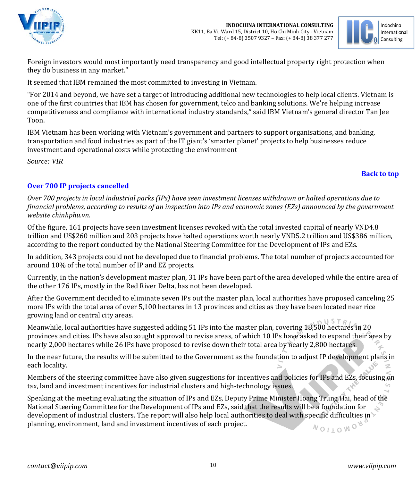



Foreign investors would most importantly need transparency and good intellectual property right protection when they do business in any market."

It seemed that IBM remained the most committed to investing in Vietnam.

"For 2014 and beyond, we have set a target of introducing additional new technologies to help local clients. Vietnam is one of the first countries that IBM has chosen for government, telco and banking solutions. We're helping increase competitiveness and compliance with international industry standards," said IBM Vietnam's general director Tan Jee Toon.

IBM Vietnam has been working with Vietnam's government and partners to support organisations, and banking, transportation and food industries as part of the IT giant's 'smarter planet' projects to help businesses reduce investment and operational costs while protecting the environment

*Source: VIR*

#### **Back to top**

## <span id="page-9-0"></span>**Over 700 IP projects cancelled**

*Over 700 projects in local industrial parks (IPs) have seen investment licenses withdrawn or halted operations due to financial problems, according to results of an inspection into IPs and economic zones (EZs) announced by the government website chinhphu.vn.*

Of the figure, 161 projects have seen investment licenses revoked with the total invested capital of nearly VND4.8 trillion and US\$260 million and 203 projects have halted operations worth nearly VND5.2 trillion and US\$386 million, according to the report conducted by the National Steering Committee for the Development of IPs and EZs.

In addition, 343 projects could not be developed due to financial problems. The total number of projects accounted for around 10% of the total number of IP and EZ projects.

Currently, in the nation's development master plan, 31 IPs have been part of the area developed while the entire area of the other 176 IPs, mostly in the Red River Delta, has not been developed.

After the Government decided to eliminate seven IPs out the master plan, local authorities have proposed canceling 25 more IPs with the total area of over 5,100 hectares in 13 provinces and cities as they have been located near rice growing land or central city areas.

Meanwhile, local authorities have suggested adding 51 IPs into the master plan, covering 18,500 hectares in 20 provinces and cities. IPs have also sought approval to revise areas, of which 10 IPs have asked to expand their area by nearly 2,000 hectares while 26 IPs have proposed to revise down their total area by nearly 2,800 hectares.

In the near future, the results will be submitted to the Government as the foundation to adjust IP development plans in each locality.

Members of the steering committee have also given suggestions for incentives and policies for IPs and EZs, focusing on tax, land and investment incentives for industrial clusters and high-technology issues.

Speaking at the meeting evaluating the situation of IPs and EZs, Deputy Prime Minister Hoang Trung Hai, head of the National Steering Committee for the Development of IPs and EZs, said that the results will be a foundation for development of industrial clusters. The report will also help local authorities to deal with specific difficulties in<br>planning, environment, land and investment incentives of each project. planning, environment, land and investment incentives of each project.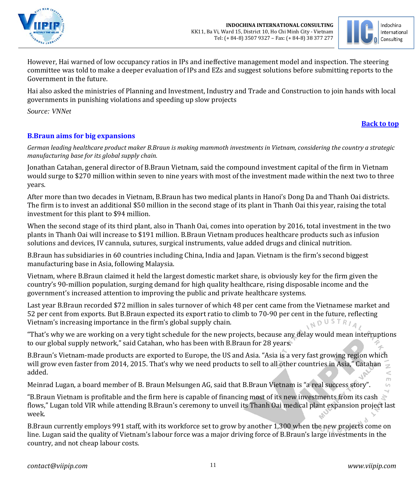



However, Hai warned of low occupancy ratios in IPs and ineffective management model and inspection. The steering committee was told to make a deeper evaluation of IPs and EZs and suggest solutions before submitting reports to the Government in the future.

Hai also asked the ministries of Planning and Investment, Industry and Trade and Construction to join hands with local governments in punishing violations and speeding up slow projects

*Source: VNNet*

#### **Back to top**

## <span id="page-10-0"></span>**B.Braun aims for big expansions**

*German leading healthcare product maker B.Braun is making mammoth investments in Vietnam, considering the country a strategic manufacturing base for its global supply chain.*

Jonathan Catahan, general director of B.Braun Vietnam, said the compound investment capital of the firm in Vietnam would surge to \$270 million within seven to nine years with most of the investment made within the next two to three years.

After more than two decades in Vietnam, B.Braun has two medical plants in Hanoi's Dong Da and Thanh Oai districts. The firm is to invest an additional \$50 million in the second stage of its plant in Thanh Oai this year, raising the total investment for this plant to \$94 million.

When the second stage of its third plant, also in Thanh Oai, comes into operation by 2016, total investment in the two plants in Thanh Oai will increase to \$191 million. B.Braun Vietnam produces healthcare products such as infusion solutions and devices, IV cannula, sutures, surgical instruments, value added drugs and clinical nutrition.

B.Braun has subsidiaries in 60 countries including China, India and Japan. Vietnam is the firm's second biggest manufacturing base in Asia, following Malaysia.

Vietnam, where B.Braun claimed it held the largest domestic market share, is obviously key for the firm given the country's 90-million population, surging demand for high quality healthcare, rising disposable income and the government's increased attention to improving the public and private healthcare systems.

Last year B.Braun recorded \$72 million in sales turnover of which 48 per cent came from the Vietnamese market and 52 per cent from exports. But B.Braun expected its export ratio to climb to 70-90 per cent in the future, reflecting Vietnam's increasing importance in the firm's global supply chain. Vietnam's increasing importance in the firm's global supply chain.

"That's why we are working on a very tight schedule for the new projects, because any delay would mean interruptions to our global supply network," said Catahan, who has been with B.Braun for 28 years.

B.Braun's Vietnam-made products are exported to Europe, the US and Asia. "Asia is a very fast growing region which will grow even faster from 2014, 2015. That's why we need products to sell to all other countries in Asia," Catahan  $\overline{z}$ added.  $\,<\,$  $\Gamma\Gamma$ 

Meinrad Lugan, a board member of B. Braun Melsungen AG, said that B.Braun Vietnam is "a real success story".

"B.Braun Vietnam is profitable and the firm here is capable of financing most of its new investments from its cash flows," Lugan told VIR while attending B.Braun's ceremony to unveil its Thanh Oai medical plant expansion project last week.

B.Braun currently employs 991 staff, with its workforce set to grow by another 1,300 when the new projects come on line. Lugan said the quality of Vietnam's labour force was a major driving force of B.Braun's large investments in the country, and not cheap labour costs.

 $\omega$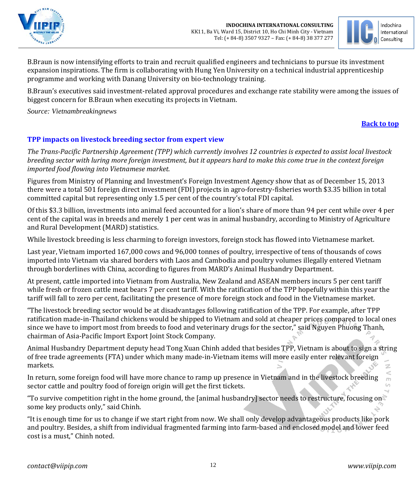



B.Braun is now intensifying efforts to train and recruit qualified engineers and technicians to pursue its investment expansion inspirations. The firm is collaborating with Hung Yen University on a technical industrial apprenticeship programme and working with Danang University on bio-technology training.

B.Braun's executives said investment-related approval procedures and exchange rate stability were among the issues of biggest concern for B.Braun when executing its projects in Vietnam.

*Source: Vietnambreakingnews*

#### **Back to top**

#### <span id="page-11-0"></span>**TPP impacts on livestock breeding sector from expert view**

*The Trans-Pacific Partnership Agreement (TPP) which currently involves 12 countries is expected to assist local livestock breeding sector with luring more foreign investment, but it appears hard to make this come true in the context foreign imported food flowing into Vietnamese market.*

Figures from Ministry of Planning and Investment's Foreign Investment Agency show that as of December 15, 2013 there were a total 501 foreign direct investment (FDI) projects in agro-forestry-fisheries worth \$3.35 billion in total committed capital but representing only 1.5 per cent of the country's total FDI capital.

Of this \$3.3 billion, investments into animal feed accounted for a lion's share of more than 94 per cent while over 4 per cent of the capital was in breeds and merely 1 per cent was in animal husbandry, according to Ministry of Agriculture and Rural Development (MARD) statistics.

While livestock breeding is less charming to foreign investors, foreign stock has flowed into Vietnamese market.

Last year, Vietnam imported 167,000 cows and 96,000 tonnes of poultry, irrespective of tens of thousands of cows imported into Vietnam via shared borders with Laos and Cambodia and poultry volumes illegally entered Vietnam through borderlines with China, according to figures from MARD's Animal Husbandry Department.

At present, cattle imported into Vietnam from Australia, New Zealand and ASEAN members incurs 5 per cent tariff while fresh or frozen cattle meat bears 7 per cent tariff. With the ratification of the TPP hopefully within this year the tariff will fall to zero per cent, facilitating the presence of more foreign stock and food in the Vietnamese market.

"The livestock breeding sector would be at disadvantages following ratification of the TPP. For example, after TPP ratification made-in-Thailand chickens would be shipped to Vietnam and sold at cheaper prices compared to local ones since we have to import most from breeds to food and veterinary drugs for the sector," said Nguyen Phuong Thanh, chairman of Asia-Pacific Import Export Joint Stock Company.

Animal Husbandry Department deputy head Tong Xuan Chinh added that besides TPP, Vietnam is about to sign a string of free trade agreements (FTA) under which many made-in-Vietnam items will more easily enter relevant foreign markets.

In return, some foreign food will have more chance to ramp up presence in Vietnam and in the livestock breeding  $\Gamma\Gamma$ sector cattle and poultry food of foreign origin will get the first tickets.  $\cup$ 

"To survive competition right in the home ground, the [animal husbandry] sector needs to restructure, focusing on some key products only," said Chinh.

"It is enough time for us to change if we start right from now. We shall only develop advantageous products like pork and poultry. Besides, a shift from individual fragmented farming into farm-based and enclosed model and lower feed cost is a must," Chinh noted.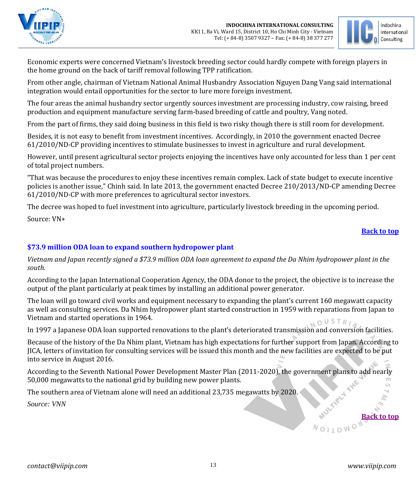



Economic experts were concerned Vietnam's livestock breeding sector could hardly compete with foreign players in the home ground on the back of tariff removal following TPP ratification.

From other angle, chairman of Vietnam National Animal Husbandry Association Nguyen Dang Vang said international integration would entail opportunities for the sector to lure more foreign investment.

The four areas the animal husbandry sector urgently sources investment are processing industry, cow raising, breed production and equipment manufacture serving farm-based breeding of cattle and poultry, Vang noted.

From the part of firms, they said doing business in this field is two risky though there is still room for development.

Besides, it is not easy to benefit from investment incentives. Accordingly, in 2010 the government enacted Decree 61/2010/ND-CP providing incentives to stimulate businesses to invest in agriculture and rural development.

However, until present agricultural sector projects enjoying the incentives have only accounted for less than 1 per cent of total project numbers.

"That was because the procedures to enjoy these incentives remain complex. Lack of state budget to execute incentive policies is another issue," Chinh said. In late 2013, the government enacted Decree 210/2013/ND-CP amending Decree 61/2010/ND-CP with more preferences to agricultural sector investors.

The decree was hoped to fuel investment into agriculture, particularly livestock breeding in the upcoming period.

Source: VN+

#### **Back to top**

## **\$73.9 million ODA loan to expand southern hydropower plant**

*Vietnam and Japan recently signed a \$73.9 million ODA loan agreement to expand the Da Nhim hydropower plant in the south.*

According to the Japan International Cooperation Agency, the ODA donor to the project, the objective is to increase the output of the plant particularly at peak times by installing an additional power generator.

The loan will go toward civil works and equipment necessary to expanding the plant's current 160 megawatt capacity as well as consulting services. Da Nhim hydropower plant started construction in 1959 with reparations from Japan to Vietnam and started operations in 1964.

In 1997 a Japanese ODA loan supported renovations to the plant's deteriorated transmission and conversion facilities.

Because of the history of the Da Nhim plant, Vietnam has high expectations for further support from Japan. According to JICA, letters of invitation for consulting services will be issued this month and the new facilities are expected to be put into service in August 2016.

According to the Seventh National Power Development Master Plan (2011-2020), the government plans to add nearly 50,000 megawatts to the national grid by building new power plants.

The southern area of Vietnam alone will need an additional 23,735 megawatts by 2020.

*Source: VNN*

## **Back to top**

NOILOWO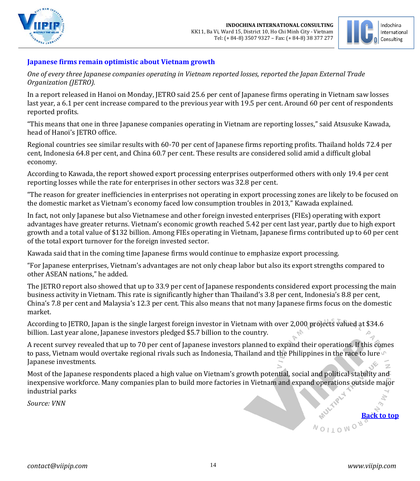



#### <span id="page-13-0"></span>**Japanese firms remain optimistic about Vietnam growth**

*One of every three Japanese companies operating in Vietnam reported losses, reported the Japan External Trade Organization (JETRO).*

In a report released in Hanoi on Monday, JETRO said 25.6 per cent of Japanese firms operating in Vietnam saw losses last year, a 6.1 per cent increase compared to the previous year with 19.5 per cent. Around 60 per cent of respondents reported profits.

"This means that one in three Japanese companies operating in Vietnam are reporting losses," said Atsusuke Kawada, head of Hanoi's JETRO office.

Regional countries see similar results with 60-70 per cent of Japanese firms reporting profits. Thailand holds 72.4 per cent, Indonesia 64.8 per cent, and China 60.7 per cent. These results are considered solid amid a difficult global economy.

According to Kawada, the report showed export processing enterprises outperformed others with only 19.4 per cent reporting losses while the rate for enterprises in other sectors was 32.8 per cent.

"The reason for greater inefficiencies in enterprises not operating in export processing zones are likely to be focused on the domestic market as Vietnam's economy faced low consumption troubles in 2013," Kawada explained.

In fact, not only Japanese but also Vietnamese and other foreign invested enterprises (FIEs) operating with export advantages have greater returns. Vietnam's economic growth reached 5.42 per cent last year, partly due to high export growth and a total value of \$132 billion. Among FIEs operating in Vietnam, Japanese firms contributed up to 60 per cent of the total export turnover for the foreign invested sector.

Kawada said that in the coming time Japanese firms would continue to emphasize export processing.

"For Japanese enterprises, Vietnam's advantages are not only cheap labor but also its export strengths compared to other ASEAN nations," he added.

The JETRO report also showed that up to 33.9 per cent of Japanese respondents considered export processing the main business activity in Vietnam. This rate is significantly higher than Thailand's 3.8 per cent, Indonesia's 8.8 per cent, China's 7.8 per cent and Malaysia's 12.3 per cent. This also means that not many Japanese firms focus on the domestic market.

According to JETRO, Japan is the single largest foreign investor in Vietnam with over 2,000 projects valued at \$34.6 billion. Last year alone, Japanese investors pledged \$5.7 billion to the country.

A recent survey revealed that up to 70 per cent of Japanese investors planned to expand their operations. If this comes to pass, Vietnam would overtake regional rivals such as Indonesia, Thailand and the Philippines in the race to lure Japanese investments.

Most of the Japanese respondents placed a high value on Vietnam's growth potential, social and political stability and inexpensive workforce. Many companies plan to build more factories in Vietnam and expand operations outside major industrial parks

<span id="page-13-1"></span>*Source: VNN*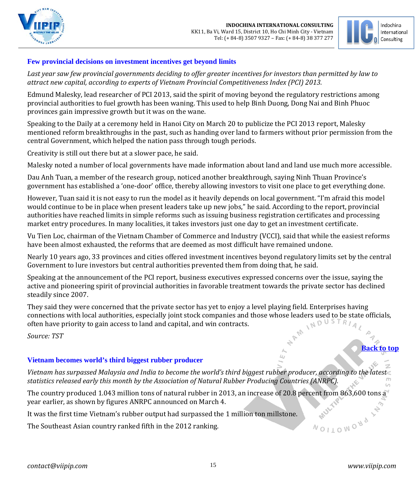



#### **Few provincial decisions on investment incentives get beyond limits**

*Last year saw few provincial governments deciding to offer greater incentives for investors than permitted by law to attract new capital, according to experts of Vietnam Provincial Competitiveness Index (PCI) 2013.*

Edmund Malesky, lead researcher of PCI 2013, said the spirit of moving beyond the regulatory restrictions among provincial authorities to fuel growth has been waning. This used to help Binh Duong, Dong Nai and Binh Phuoc provinces gain impressive growth but it was on the wane.

Speaking to the Daily at a ceremony held in Hanoi City on March 20 to publicize the PCI 2013 report, Malesky mentioned reform breakthroughs in the past, such as handing over land to farmers without prior permission from the central Government, which helped the nation pass through tough periods.

Creativity is still out there but at a slower pace, he said.

Malesky noted a number of local governments have made information about land and land use much more accessible.

Dau Anh Tuan, a member of the research group, noticed another breakthrough, saying Ninh Thuan Province's government has established a 'one-door' office, thereby allowing investors to visit one place to get everything done.

However, Tuan said it is not easy to run the model as it heavily depends on local government. "I'm afraid this model would continue to be in place when present leaders take up new jobs," he said. According to the report, provincial authorities have reached limits in simple reforms such as issuing business registration certificates and processing market entry procedures. In many localities, it takes investors just one day to get an investment certificate.

Vu Tien Loc, chairman of the Vietnam Chamber of Commerce and Industry (VCCI), said that while the easiest reforms have been almost exhausted, the reforms that are deemed as most difficult have remained undone.

Nearly 10 years ago, 33 provinces and cities offered investment incentives beyond regulatory limits set by the central Government to lure investors but central authorities prevented them from doing that, he said.

Speaking at the announcement of the PCI report, business executives expressed concerns over the issue, saying the active and pioneering spirit of provincial authorities in favorable treatment towards the private sector has declined steadily since 2007.

They said they were concerned that the private sector has yet to enjoy a level playing field. Enterprises having connections with local authorities, especially joint stock companies and those whose leaders used to be state officials, often have priority to gain access to land and capital, and win contracts. often have priority to gain access to land and capital, and win contracts. HAM

*Source: TST*

## <span id="page-14-0"></span>**Vietnam becomes world's third biggest rubber producer**

*Vietnam has surpassed Malaysia and India to become the world's third biggest rubber producer, according to the latest statistics released early this month by the Association of Natural Rubber Producing Countries (ANRPC).*  $\cup$ 

The country produced 1.043 million tons of natural rubber in 2013, an increase of 20.8 percent from 863,600 tons a<br>year earlier, as shown by figures ANRPC announced on March 4.<br>It was the first time Vietnam's rubber output year earlier, as shown by figures ANRPC announced on March 4.

It was the first time Vietnam's rubber output had surpassed the 1 million ton millstone.

The Southeast Asian country ranked fifth in the 2012 ranking.

**Back to top**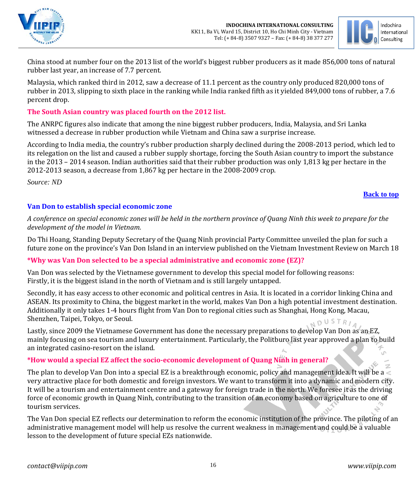



China stood at number four on the 2013 list of the world's biggest rubber producers as it made 856,000 tons of natural rubber last year, an increase of 7.7 percent.

Malaysia, which ranked third in 2012, saw a decrease of 11.1 percent as the country only produced 820,000 tons of rubber in 2013, slipping to sixth place in the ranking while India ranked fifth as it yielded 849,000 tons of rubber, a 7.6 percent drop.

## **The South Asian country was placed fourth on the 2012 list.**

The ANRPC figures also indicate that among the nine biggest rubber producers, India, Malaysia, and Sri Lanka witnessed a decrease in rubber production while Vietnam and China saw a surprise increase.

According to India media, the country's rubber production sharply declined during the 2008-2013 period, which led to its relegation on the list and caused a rubber supply shortage, forcing the South Asian country to import the substance in the 2013 – 2014 season. Indian authorities said that their rubber production was only 1,813 kg per hectare in the 2012-2013 season, a decrease from 1,867 kg per hectare in the 2008-2009 crop.

*Source: ND*

#### **Back to top**

#### <span id="page-15-0"></span>**Van Don to establish special economic zone**

*A conference on special economic zones will be held in the northern province of Quang Ninh this week to prepare for the development of the model in Vietnam.*

Do Thi Hoang, Standing Deputy Secretary of the Quang Ninh provincial Party Committee unveiled the plan for such a future zone on the province's Van Don Island in an interview published on the Vietnam Investment Review on March 18

## **\*Why was Van Don selected to be a special administrative and economic zone (EZ)?**

Van Don was selected by the Vietnamese government to develop this special model for following reasons: Firstly, it is the biggest island in the north of Vietnam and is still largely untapped.

Secondly, it has easy access to other economic and political centres in Asia. It is located in a corridor linking China and ASEAN. Its proximity to China, the biggest market in the world, makes Van Don a high potential investment destination. Additionally it only takes 1-4 hours flight from Van Don to regional cities such as Shanghai, Hong Kong, Macau, Shenzhen, Taipei, Tokyo, or Seoul. NDUSTRIA

Lastly, since 2009 the Vietnamese Government has done the necessary preparations to develop Van Don as an EZ, mainly focusing on sea tourism and luxury entertainment. Particularly, the Politburo last year approved a plan to build an integrated casino-resort on the island.

## **\*How would a special EZ affect the socio-economic development of Quang Ninh in general?**

The plan to develop Van Don into a special EZ is a breakthrough economic, policy and management idea. It will be a very attractive place for both domestic and foreign investors. We want to transform it into a dynamic and modern city. It will be a tourism and entertainment centre and a gateway for foreign trade in the north. We foresee it as the driving force of economic growth in Quang Ninh, contributing to the transition of an economy based on agriculture to one of tourism services.

The Van Don special EZ reflects our determination to reform the economic institution of the province. The piloting of an administrative management model will help us resolve the current weakness in management and could be a valuable lesson to the development of future special EZs nationwide.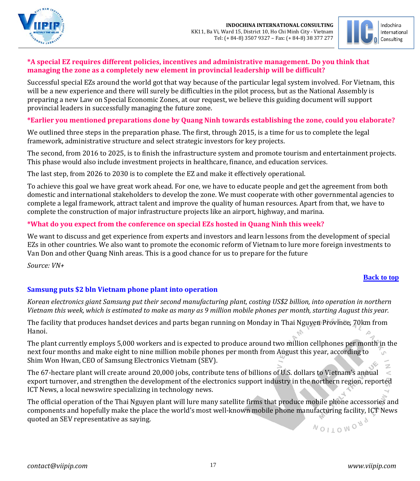



## **\*A special EZ requires different policies, incentives and administrative management. Do you think that managing the zone as a completely new element in provincial leadership will be difficult?**

Successful special EZs around the world got that way because of the particular legal system involved. For Vietnam, this will be a new experience and there will surely be difficulties in the pilot process, but as the National Assembly is preparing a new Law on Special Economic Zones, at our request, we believe this guiding document will support provincial leaders in successfully managing the future zone.

## **\*Earlier you mentioned preparations done by Quang Ninh towards establishing the zone, could you elaborate?**

We outlined three steps in the preparation phase. The first, through 2015, is a time for us to complete the legal framework, administrative structure and select strategic investors for key projects.

The second, from 2016 to 2025, is to finish the infrastructure system and promote tourism and entertainment projects. This phase would also include investment projects in healthcare, finance, and education services.

The last step, from 2026 to 2030 is to complete the EZ and make it effectively operational.

To achieve this goal we have great work ahead. For one, we have to educate people and get the agreement from both domestic and international stakeholders to develop the zone. We must cooperate with other governmental agencies to complete a legal framework, attract talent and improve the quality of human resources. Apart from that, we have to complete the construction of major infrastructure projects like an airport, highway, and marina.

## **\*What do you expect from the conference on special EZs hosted in Quang Ninh this week?**

We want to discuss and get experience from experts and investors and learn lessons from the development of special EZs in other countries. We also want to promote the economic reform of Vietnam to lure more foreign investments to Van Don and other Quang Ninh areas. This is a good chance for us to prepare for the future

*Source: VN+*

## **Back to top**

## <span id="page-16-0"></span>**Samsung puts \$2 bln Vietnam phone plant into operation**

*Korean electronics giant Samsung put their second manufacturing plant, costing US\$2 billion, into operation in northern Vietnam this week, which is estimated to make as many as 9 million mobile phones per month, starting August this year.*

The facility that produces handset devices and parts began running on Monday in Thai Nguyen Province, 70km from Hanoi.

The plant currently employs 5,000 workers and is expected to produce around two million cellphones per month in the next four months and make eight to nine million mobile phones per month from August this year, according to Shim Won Hwan, CEO of Samsung Electronics Vietnam (SEV).

The 67-hectare plant will create around 20,000 jobs, contribute tens of billions of U.S. dollars to Vietnam's annual export turnover, and strengthen the development of the electronics support industry in the northern region, reported ICT News, a local newswire specializing in technology news.

The official operation of the Thai Nguyen plant will lure many satellite firms that produce mobile phone accessories and components and hopefully make the place the world's most well-known mobile phone manufacturing facility, ICT News<br>quoted an SEV representative as saying. quoted an SEV representative as saying.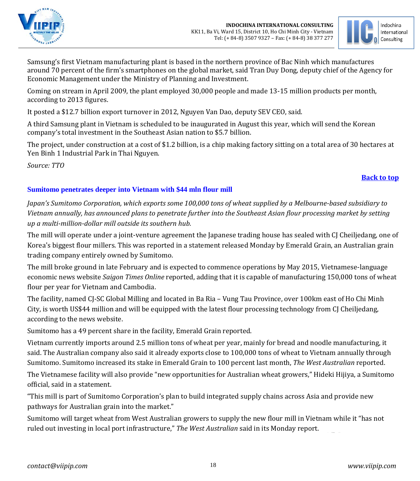



Samsung's first Vietnam manufacturing plant is based in the northern province of Bac Ninh which manufactures around 70 percent of the firm's smartphones on the global market, said Tran Duy Dong, deputy chief of the Agency for Economic Management under the Ministry of Planning and Investment.

Coming on stream in April 2009, the plant employed 30,000 people and made 13-15 million products per month, according to 2013 figures.

It posted a \$12.7 billion export turnover in 2012, Nguyen Van Dao, deputy SEV CEO, said.

A third Samsung plant in Vietnam is scheduled to be inaugurated in August this year, which will send the Korean company's total investment in the Southeast Asian nation to \$5.7 billion.

The project, under construction at a cost of \$1.2 billion, is a chip making factory sitting on a total area of 30 hectares at Yen Binh 1 Industrial Park in Thai Nguyen.

*Source: TTO*

## **Back to top**

## <span id="page-17-0"></span>**Sumitomo penetrates deeper into Vietnam with \$44 mln flour mill**

*Japan's Sumitomo Corporation, which exports some 100,000 tons of wheat supplied by a Melbourne-based subsidiary to Vietnam annually, has announced plans to penetrate further into the Southeast Asian flour processing market by setting up a multi-million-dollar mill outside its southern hub.*

The mill will operate under a joint-venture agreement the Japanese trading house has sealed with CJ Cheiljedang, one of Korea's biggest flour millers. This was reported in a statement released Monday by Emerald Grain, an Australian grain trading company entirely owned by Sumitomo.

The mill broke ground in late February and is expected to commence operations by May 2015, Vietnamese-language economic news website *Saigon Times Online* reported, adding that it is capable of manufacturing 150,000 tons of wheat flour per year for Vietnam and Cambodia.

The facility, named CJ-SC Global Milling and located in Ba Ria – Vung Tau Province, over 100km east of Ho Chi Minh City, is worth US\$44 million and will be equipped with the latest flour processing technology from CJ Cheiljedang, according to the news website.

Sumitomo has a 49 percent share in the facility, Emerald Grain reported.

Vietnam currently imports around 2.5 million tons of wheat per year, mainly for bread and noodle manufacturing, it said. The Australian company also said it already exports close to 100,000 tons of wheat to Vietnam annually through Sumitomo. Sumitomo increased its stake in Emerald Grain to 100 percent last month, *The West Australian* reported.

The Vietnamese facility will also provide "new opportunities for Australian wheat growers," Hideki Hijiya, a Sumitomo official, said in a statement.

"This mill is part of Sumitomo Corporation's plan to build integrated supply chains across Asia and provide new pathways for Australian grain into the market."

Sumitomo will target wheat from West Australian growers to supply the new flour mill in Vietnam while it "has not ruled out investing in local port infrastructure," *The West Australian* said in its Monday report.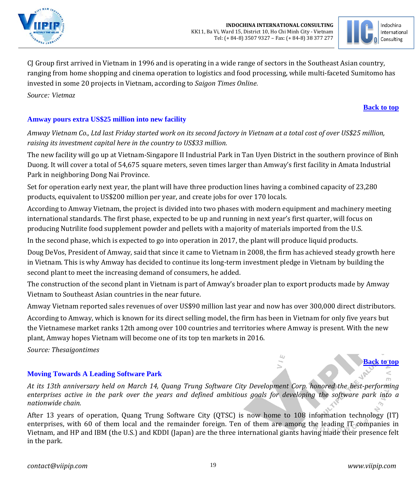



CJ Group first arrived in Vietnam in 1996 and is operating in a wide range of sectors in the Southeast Asian country, ranging from home shopping and cinema operation to logistics and food processing, while multi-faceted Sumitomo has invested in some 20 projects in Vietnam, according to *Saigon Times Online*.

*Source: Vietmaz*

#### **Back to top**

#### <span id="page-18-0"></span>**Amway pours extra US\$25 million into new facility**

*Amway Vietnam Co., Ltd last Friday started work on its second factory in Vietnam at a total cost of over US\$25 million, raising its investment capital here in the country to US\$33 million.*

The new facility will go up at Vietnam-Singapore II Industrial Park in Tan Uyen District in the southern province of Binh Duong. It will cover a total of 54,675 square meters, seven times larger than Amway's first facility in Amata Industrial Park in neighboring Dong Nai Province.

Set for operation early next year, the plant will have three production lines having a combined capacity of 23,280 products, equivalent to US\$200 million per year, and create jobs for over 170 locals.

According to Amway Vietnam, the project is divided into two phases with modern equipment and machinery meeting international standards. The first phase, expected to be up and running in next year's first quarter, will focus on producing Nutrilite food supplement powder and pellets with a majority of materials imported from the U.S.

In the second phase, which is expected to go into operation in 2017, the plant will produce liquid products.

Doug DeVos, President of Amway, said that since it came to Vietnam in 2008, the firm has achieved steady growth here in Vietnam. This is why Amway has decided to continue its long-term investment pledge in Vietnam by building the second plant to meet the increasing demand of consumers, he added.

The construction of the second plant in Vietnam is part of Amway's broader plan to export products made by Amway Vietnam to Southeast Asian countries in the near future.

Amway Vietnam reported sales revenues of over US\$90 million last year and now has over 300,000 direct distributors.

According to Amway, which is known for its direct selling model, the firm has been in Vietnam for only five years but the Vietnamese market ranks 12th among over 100 countries and territories where Amway is present. With the new plant, Amway hopes Vietnam will become one of its top ten markets in 2016.

*Source: Thesaigontimes*

## <span id="page-18-1"></span>**Moving Towards A Leading Software Park**

*At its 13th anniversary held on March 14, Quang Trung Software City Development Corp. honored the best-performing enterprises active in the park over the years and defined ambitious goals for developing the software park into a nationwide chain.*

After 13 years of operation, Quang Trung Software City (QTSC) is now home to 108 information technology (IT) enterprises, with 60 of them local and the remainder foreign. Ten of them are among the leading IT companies in Vietnam, and HP and IBM (the U.S.) and KDDI (Japan) are the three international giants having made their presence felt in the park.

**Back to top**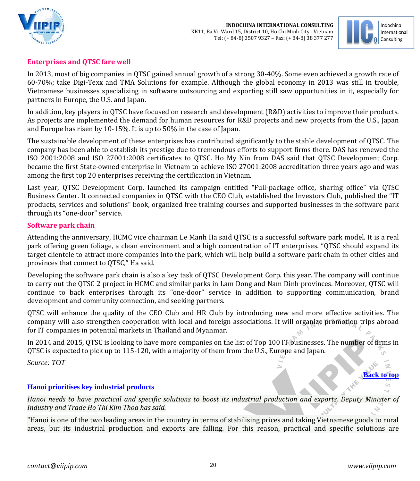



#### **Enterprises and QTSC fare well**

In 2013, most of big companies in QTSC gained annual growth of a strong 30-40%. Some even achieved a growth rate of 60-70%; take Digi-Texx and TMA Solutions for example. Although the global economy in 2013 was still in trouble, Vietnamese businesses specializing in software outsourcing and exporting still saw opportunities in it, especially for partners in Europe, the U.S. and Japan.

In addition, key players in QTSC have focused on research and development (R&D) activities to improve their products. As projects are implemented the demand for human resources for R&D projects and new projects from the U.S., Japan and Europe has risen by 10-15%. It is up to 50% in the case of Japan.

The sustainable development of these enterprises has contributed significantly to the stable development of QTSC. The company has been able to establish its prestige due to tremendous efforts to support firms there. DAS has renewed the ISO 2001:2008 and ISO 27001:2008 certificates to QTSC. Ho My Nin from DAS said that QTSC Development Corp. became the first State-owned enterprise in Vietnam to achieve ISO 27001:2008 accreditation three years ago and was among the first top 20 enterprises receiving the certification in Vietnam.

Last year, QTSC Development Corp. launched its campaign entitled "Full-package office, sharing office" via QTSC Business Center. It connected companies in QTSC with the CEO Club, established the Investors Club, published the "IT products, services and solutions" book, organized free training courses and supported businesses in the software park through its "one-door" service.

#### **Software park chain**

Attending the anniversary, HCMC vice chairman Le Manh Ha said QTSC is a successful software park model. It is a real park offering green foliage, a clean environment and a high concentration of IT enterprises. "QTSC should expand its target clientele to attract more companies into the park, which will help build a software park chain in other cities and provinces that connect to QTSC," Ha said.

Developing the software park chain is also a key task of QTSC Development Corp. this year. The company will continue to carry out the QTSC 2 project in HCMC and similar parks in Lam Dong and Nam Dinh provinces. Moreover, QTSC will continue to back enterprises through its "one-door" service in addition to supporting communication, brand development and community connection, and seeking partners.

QTSC will enhance the quality of the CEO Club and HR Club by introducing new and more effective activities. The company will also strengthen cooperation with local and foreign associations. It will organize promotion trips abroad for IT companies in potential markets in Thailand and Myanmar.

In 2014 and 2015, QTSC is looking to have more companies on the list of Top 100 IT businesses. The number of firms in QTSC is expected to pick up to 115-120, with a majority of them from the U.S., Europe and Japan.

*Source: TOT*

#### <span id="page-19-0"></span>**Hanoi prioritises key industrial products**

*Hanoi needs to have practical and specific solutions to boost its industrial production and exports, Deputy Minister of Industry and Trade Ho Thi Kim Thoa has said.*

"Hanoi is one of the two leading areas in the country in terms of stabilising prices and taking Vietnamese goods to rural areas, but its industrial production and exports are falling. For this reason, practical and specific solutions are

**Back to top**

 $\overline{z}$ 

 $\cup$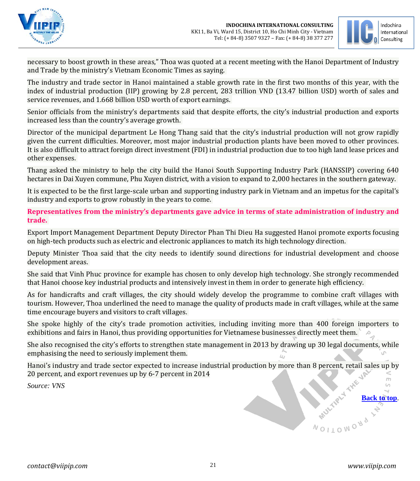



necessary to boost growth in these areas," Thoa was quoted at a recent meeting with the Hanoi Department of Industry and Trade by the ministry's Vietnam Economic Times as saying.

The industry and trade sector in Hanoi maintained a stable growth rate in the first two months of this year, with the index of industrial production (IIP) growing by 2.8 percent, 283 trillion VND (13.47 billion USD) worth of sales and service revenues, and 1.668 billion USD worth of export earnings.

Senior officials from the ministry's departments said that despite efforts, the city's industrial production and exports increased less than the country's average growth.

Director of the municipal department Le Hong Thang said that the city's industrial production will not grow rapidly given the current difficulties. Moreover, most major industrial production plants have been moved to other provinces. It is also difficult to attract foreign direct investment (FDI) in industrial production due to too high land lease prices and other expenses.

Thang asked the ministry to help the city build the Hanoi South Supporting Industry Park (HANSSIP) covering 640 hectares in Dai Xuyen commune, Phu Xuyen district, with a vision to expand to 2,000 hectares in the southern gateway.

It is expected to be the first large-scale urban and supporting industry park in Vietnam and an impetus for the capital's industry and exports to grow robustly in the years to come.

**Representatives from the ministry's departments gave advice in terms of state administration of industry and trade.**

Export Import Management Department Deputy Director Phan Thi Dieu Ha suggested Hanoi promote exports focusing on high-tech products such as electric and electronic appliances to match its high technology direction.

Deputy Minister Thoa said that the city needs to identify sound directions for industrial development and choose development areas.

She said that Vinh Phuc province for example has chosen to only develop high technology. She strongly recommended that Hanoi choose key industrial products and intensively invest in them in order to generate high efficiency.

As for handicrafts and craft villages, the city should widely develop the programme to combine craft villages with tourism. However, Thoa underlined the need to manage the quality of products made in craft villages, while at the same time encourage buyers and visitors to craft villages.

She spoke highly of the city's trade promotion activities, including inviting more than 400 foreign importers to exhibitions and fairs in Hanoi, thus providing opportunities for Vietnamese businesses directly meet them.

She also recognised the city's efforts to strengthen state management in 2013 by drawing up 30 legal documents, while emphasising the need to seriously implement them.

Hanoi's industry and trade sector expected to increase industrial production by more than 8 percent, retail sales up by 20 percent, and export revenues up by 6-7 percent in 2014  $\Gamma\Gamma$ 

*Source: VNS*

 $\omega$ 

NOITOMORD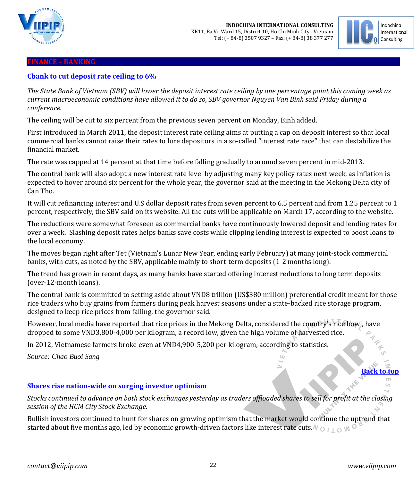



#### <span id="page-21-0"></span>**FINANCE – BANKING**

#### **Cbank to cut deposit rate ceiling to 6%**

*The State Bank of Vietnam (SBV) will lower the deposit interest rate ceiling by one percentage point this coming week as current macroeconomic conditions have allowed it to do so, SBV governor Nguyen Van Binh said Friday during a conference.*

The ceiling will be cut to six percent from the previous seven percent on Monday, Binh added.

First introduced in March 2011, the deposit interest rate ceiling aims at putting a cap on deposit interest so that local commercial banks cannot raise their rates to lure depositors in a so-called "interest rate race" that can destabilize the financial market.

The rate was capped at 14 percent at that time before falling gradually to around seven percent in mid-2013.

The central bank will also adopt a new interest rate level by adjusting many key policy rates next week, as inflation is expected to hover around six percent for the whole year, the governor said at the meeting in the Mekong Delta city of Can Tho.

It will cut refinancing interest and U.S dollar deposit rates from seven percent to 6.5 percent and from 1.25 percent to 1 percent, respectively, the SBV said on its website. All the cuts will be applicable on March 17, according to the website.

The reductions were somewhat foreseen as commercial banks have continuously lowered deposit and lending rates for over a week. Slashing deposit rates helps banks save costs while clipping lending interest is expected to boost loans to the local economy.

The moves began right after Tet (Vietnam's Lunar New Year, ending early February) at many joint-stock commercial banks, with cuts, as noted by the SBV, applicable mainly to short-term deposits (1-2 months long).

The trend has grown in recent days, as many banks have started offering interest reductions to long term deposits (over-12-month loans).

The central bank is committed to setting aside about VND8 trillion (US\$380 million) preferential credit meant for those rice traders who buy grains from farmers during peak harvest seasons under a state-backed rice storage program, designed to keep rice prices from falling, the governor said.

However, local media have reported that rice prices in the Mekong Delta, considered the country's rice bowl, have dropped to some VND3,800-4,000 per kilogram, a record low, given the high volume of harvested rice.

In 2012, Vietnamese farmers broke even at VND4,900-5,200 per kilogram, according to statistics.

*Source: Chao Buoi Sang*

#### <span id="page-21-1"></span>**Shares rise nation-wide on surging investor optimism**

*Stocks continued to advance on both stock exchanges yesterday as traders offloaded shares to sell for profit at the closing session of the HCM City Stock Exchange*.

Bullish investors continued to hunt for shares on growing optimism that the market would continue the uptrend that started about five months ago, led by economic growth-driven factors like interest rate cuts. No  $\Box$ 

**Back to top**

 $\circ$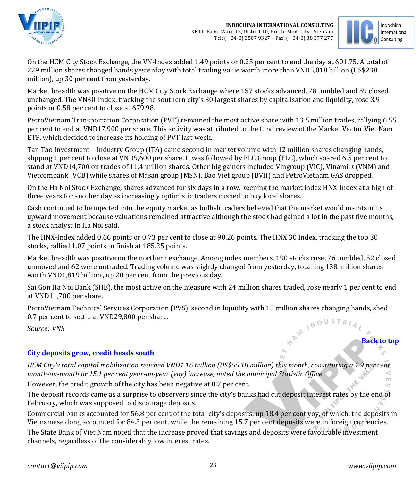



On the HCM City Stock Exchange, the VN-Index added 1.49 points or 0.25 per cent to end the day at 601.75. A total of 229 million shares changed hands yesterday with total trading value worth more than VND5,018 billion (US\$238 million), up 30 per cent from yesterday.

Market breadth was positive on the HCM City Stock Exchange where 157 stocks advanced, 78 tumbled and 59 closed unchanged. The VN30-Index, tracking the southern city's 30 largest shares by capitalisation and liquidity, rose 3.9 points or 0.58 per cent to close at 679.98.

PetroVietnam Transportation Corporation (PVT) remained the most active share with 13.5 million trades, rallying 6.55 per cent to end at VND17,900 per share. This activity was attributed to the fund review of the Market Vector Viet Nam ETF, which decided to increase its holding of PVT last week.

Tan Tao Investment – Industry Group (ITA) came second in market volume with 12 million shares changing hands, slipping 1 per cent to close at VND9,600 per share. It was followed by FLC Group (FLC), which soared 6.5 per cent to stand at VND14,700 on trades of 11.4 million shares. Other big gainers included Vingroup (VIC), Vinamilk (VNM) and Vietcombank (VCB) while shares of Masan group (MSN), Bao Viet group (BVH) and PetroVietnam GAS dropped.

On the Ha Noi Stock Exchange, shares advanced for six days in a row, keeping the market index HNX-Index at a high of three years for another day as increasingly optimistic traders rushed to buy local shares.

Cash continued to be injected into the equity market as bullish traders believed that the market would maintain its upward movement because valuations remained attractive although the stock had gained a lot in the past five months, a stock analyst in Ha Noi said.

The HNX-Index added 0.66 points or 0.73 per cent to close at 90.26 points. The HNX 30 Index, tracking the top 30 stocks, rallied 1.07 points to finish at 185.25 points.

Market breadth was positive on the northern exchange. Among index members, 190 stocks rose, 76 tumbled, 52 closed unmoved and 62 were untraded. Trading volume was slightly changed from yesterday, totalling 138 million shares worth VND1,819 billion , up 20 per cent from the previous day.

Sai Gon Ha Noi Bank (SHB), the most active on the measure with 24 million shares traded, rose nearly 1 per cent to end at VND11,700 per share.

PetroVietnam Technical Services Corporation (PVS), second in liquidity with 15 million shares changing hands, shed 0.7 per cent to settle at VND29,800 per share.<br>Source: VNS<br>Source: VNS 0.7 per cent to settle at VND29,800 per share.

*Source: VNS*

## <span id="page-22-0"></span>**City deposits grow, credit heads south**

*HCM City's total capital mobilization reached VND1.16 trillion (US\$55.18 million) this month, constituting a 1.9 per cent month-on-month or 15.1 per cent year-on-year (yoy) increase, noted the municipal Statistic Office*.  $\Gamma\Gamma$ 

However, the credit growth of the city has been negative at 0.7 per cent.

The deposit records came as a surprise to observers since the city's banks had cut deposit interest rates by the end of February, which was supposed to discourage deposits.

Commercial banks accounted for 56.8 per cent of the total city's deposits, up 18.4 per cent yoy, of which, the deposits in Vietnamese dong accounted for 84.3 per cent, while the remaining 15.7 per cent deposits were in foreign currencies. The State Bank of Viet Nam noted that the increase proved that savings and deposits were favourable investment channels, regardless of the considerably low interest rates.

**Back to top**

 $\cup$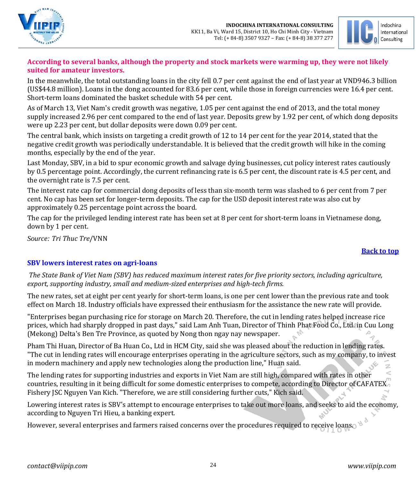



## **According to several banks, although the property and stock markets were warming up, they were not likely suited for amateur investors.**

In the meanwhile, the total outstanding loans in the city fell 0.7 per cent against the end of last year at VND946.3 billion (US\$44.8 million). Loans in the dong accounted for 83.6 per cent, while those in foreign currencies were 16.4 per cent. Short-term loans dominated the basket schedule with 54 per cent.

As of March 13, Viet Nam's credit growth was negative, 1.05 per cent against the end of 2013, and the total money supply increased 2.96 per cent compared to the end of last year. Deposits grew by 1.92 per cent, of which dong deposits were up 2.23 per cent, but dollar deposits were down 0.09 per cent.

The central bank, which insists on targeting a credit growth of 12 to 14 per cent for the year 2014, stated that the negative credit growth was periodically understandable. It is believed that the credit growth will hike in the coming months, especially by the end of the year.

Last Monday, SBV, in a bid to spur economic growth and salvage dying businesses, cut policy interest rates cautiously by 0.5 percentage point. Accordingly, the current refinancing rate is 6.5 per cent, the discount rate is 4.5 per cent, and the overnight rate is 7.5 per cent.

The interest rate cap for commercial dong deposits of less than six-month term was slashed to 6 per cent from 7 per cent. No cap has been set for longer-term deposits. The cap for the USD deposit interest rate was also cut by approximately 0.25 percentage point across the board.

The cap for the privileged lending interest rate has been set at 8 per cent for short-term loans in Vietnamese dong, down by 1 per cent.

*Source: Tri Thuc Tre*/VNN

#### **Back to top**

## <span id="page-23-0"></span>**SBV lowers interest rates on agri-loans**

*The State Bank of Viet Nam (SBV) has reduced maximum interest rates for five priority sectors, including agriculture, export, supporting industry, small and medium-sized enterprises and high-tech firms.*

The new rates, set at eight per cent yearly for short-term loans, is one per cent lower than the previous rate and took effect on March 18. Industry officials have expressed their enthusiasm for the assistance the new rate will provide.

"Enterprises began purchasing rice for storage on March 20. Therefore, the cut in lending rates helped increase rice prices, which had sharply dropped in past days," said Lam Anh Tuan, Director of Thinh Phat Food Co., Ltd. in Cuu Long (Mekong) Delta's Ben Tre Province, as quoted by Nong thon ngay nay newspaper.

Pham Thi Huan, Director of Ba Huan Co., Ltd in HCM City, said she was pleased about the reduction in lending rates. "The cut in lending rates will encourage enterprises operating in the agriculture sectors, such as my company, to invest in modern machinery and apply new technologies along the production line," Huan said.

The lending rates for supporting industries and exports in Viet Nam are still high, compared with rates in other countries, resulting in it being difficult for some domestic enterprises to compete, according to Director of CAFATEX Fishery JSC Nguyen Van Kich. "Therefore, we are still considering further cuts," Kich said.

Lowering interest rates is SBV's attempt to encourage enterprises to take out more loans, and seeks to aid the economy, according to Nguyen Tri Hieu, a banking expert.

However, several enterprises and farmers raised concerns over the procedures required to receive loans.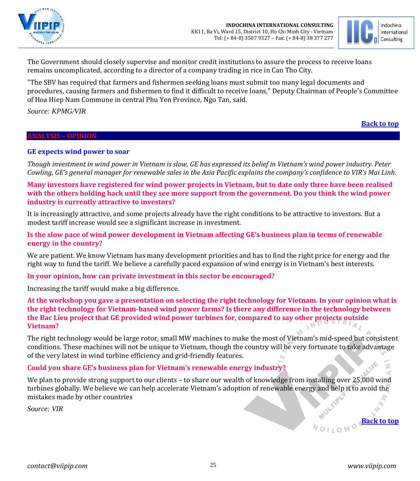



The Government should closely supervise and monitor credit institutions to assure the process to receive loans remains uncomplicated, according to a director of a company trading in rice in Can Tho City.

"The SBV has required that farmers and fishermen seeking loans must submit too many legal documents and procedures, causing farmers and fishermen to find it difficult to receive loans," Deputy Chairman of People's Committee of Hoa Hiep Nam Commune in central Phu Yen Province, Ngo Tan, said.

*Source: KPMG/VIR*

#### **Back to top**

#### <span id="page-24-0"></span>**ANALYSIS – OPINION**

#### **GE expects wind power to soar**

*Though investment in wind power in Vietnam is slow, GE has expressed its belief in Vietnam's wind power industry. Peter Cowling, GE's general manager for renewable sales in the Asia Pacific explains the company's confidence to VIR's Mai Linh.*

**Many investors have registered for wind power projects in Vietnam, but to date only three have been realised with the others holding back until they see more support from the government. Do you think the wind power industry is currently attractive to investors?**

It is increasingly attractive, and some projects already have the right conditions to be attractive to investors. But a modest tariff increase would see a significant increase in investment.

**Is the slow pace of wind power development in Vietnam affecting GE's business plan in terms of renewable energy in the country?**

We are patient. We know Vietnam has many development priorities and has to find the right price for energy and the right way to fund the tariff. We believe a carefully paced expansion of wind energy is in Vietnam's best interests.

**In your opinion, how can private investment in this sector be encouraged?**

Increasing the tariff would make a big difference.

**At the workshop you gave a presentation on selecting the right technology for Vietnam. In your opinion what is the right technology for Vietnam-based wind power farms? Is there any difference in the technology between the Bac Lieu project that GE provided wind power turbines for, compared to say other projects outside Vietnam?**

The right technology would be large rotor, small MW machines to make the most of Vietnam's mid-speed but consistent conditions. These machines will not be unique to Vietnam, though the country will be very fortunate to take advantage of the very latest in wind turbine efficiency and grid-friendly features.

#### **Could you share GE's business plan for Vietnam's renewable energy industry?**

We plan to provide strong support to our clients – to share our wealth of knowledge from installing over 25,000 wind turbines globally. We believe we can help accelerate Vietnam's adoption of renewable energy and help it to avoid the mistakes made by other countries

*Source: VIR*

 $\overline{z}$ 

**NOILOWO** Back to top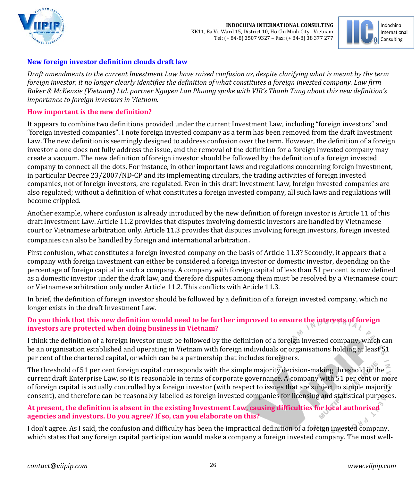



## <span id="page-25-0"></span>**New foreign investor definition clouds draft law**

*Draft amendments to the current Investment Law have raised confusion as, despite clarifying what is meant by the term foreign investor, it no longer clearly identifies the definition of what constitutes a foreign invested company. Law firm Baker & McKenzie (Vietnam) Ltd. partner Nguyen Lan Phuong spoke with VIR's Thanh Tung about this new definition's importance to foreign investors in Vietnam.*

#### **How important is the new definition?**

It appears to combine two definitions provided under the current Investment Law, including "foreign investors" and "foreign invested companies". I note foreign invested company as a term has been removed from the draft Investment Law. The new definition is seemingly designed to address confusion over the term. However, the definition of a foreign investor alone does not fully address the issue, and the removal of the definition for a foreign invested company may create a vacuum. The new definition of foreign investor should be followed by the definition of a foreign invested company to connect all the dots. For instance, in other important laws and regulations concerning foreign investment, in particular Decree 23/2007/ND-CP and its implementing circulars, the trading activities of foreign invested companies, not of foreign investors, are regulated. Even in this draft Investment Law, foreign invested companies are also regulated; without a definition of what constitutes a foreign invested company, all such laws and regulations will become crippled.

Another example, where confusion is already introduced by the new definition of foreign investor is Article 11 of this draft Investment Law. Article 11.2 provides that disputes involving domestic investors are handled by Vietnamese court or Vietnamese arbitration only. Article 11.3 provides that disputes involving foreign investors, foreign invested companies can also be handled by foreign and international arbitration.

First confusion, what constitutes a foreign invested company on the basis of Article 11.3? Secondly, it appears that a company with foreign investment can either be considered a foreign investor or domestic investor, depending on the percentage of foreign capital in such a company. A company with foreign capital of less than 51 per cent is now defined as a domestic investor under the draft law, and therefore disputes among them must be resolved by a Vietnamese court or Vietnamese arbitration only under Article 11.2. This conflicts with Article 11.3.

In brief, the definition of foreign investor should be followed by a definition of a foreign invested company, which no longer exists in the draft Investment Law.

#### **Do you think that this new definition would need to be further improved to ensure the interests of foreign investors are protected when doing business in Vietnam?**

I think the definition of a foreign investor must be followed by the definition of a foreign invested company, which can be an organisation established and operating in Vietnam with foreign individuals or organisations holding at least 51 per cent of the chartered capital, or which can be a partnership that includes foreigners.

The threshold of 51 per cent foreign capital corresponds with the simple majority decision-making threshold in the current draft Enterprise Law, so it is reasonable in terms of corporate governance. A company with 51 per cent or more of foreign capital is actually controlled by a foreign investor (with respect to issues that are subject to simple majority consent), and therefore can be reasonably labelled as foreign invested companies for licensing and statistical purposes.

## **At present, the definition is absent in the existing Investment Law, causing difficulties for local authorised agencies and investors. Do you agree? If so, can you elaborate on this?**

I don't agree. As I said, the confusion and difficulty has been the impractical definition of a foreign invested company, which states that any foreign capital participation would make a company a foreign invested company. The most well-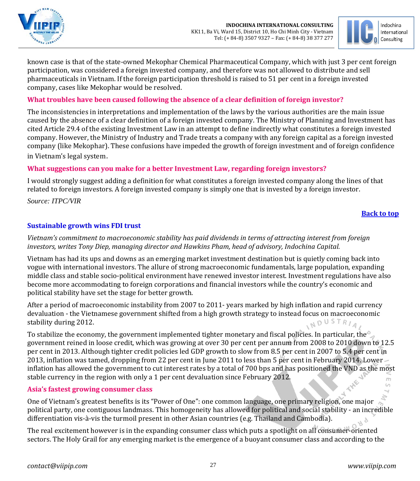



known case is that of the state-owned Mekophar Chemical Pharmaceutical Company, which with just 3 per cent foreign participation, was considered a foreign invested company, and therefore was not allowed to distribute and sell pharmaceuticals in Vietnam. If the foreign participation threshold is raised to 51 per cent in a foreign invested company, cases like Mekophar would be resolved.

#### **What troubles have been caused following the absence of a clear definition of foreign investor?**

The inconsistencies in interpretations and implementation of the laws by the various authorities are the main issue caused by the absence of a clear definition of a foreign invested company. The Ministry of Planning and Investment has cited Article 29.4 of the existing Investment Law in an attempt to define indirectly what constitutes a foreign invested company. However, the Ministry of Industry and Trade treats a company with any foreign capital as a foreign invested company (like Mekophar). These confusions have impeded the growth of foreign investment and of foreign confidence in Vietnam's legal system.

#### **What suggestions can you make for a better Investment Law, regarding foreign investors?**

I would strongly suggest adding a definition for what constitutes a foreign invested company along the lines of that related to foreign investors. A foreign invested company is simply one that is invested by a foreign investor.

*Source: ITPC/VIR*

#### **Back to top**

#### <span id="page-26-0"></span>**Sustainable growth wins FDI trust**

*Vietnam's commitment to macroeconomic stability has paid dividends in terms of attracting interest from foreign investors, writes Tony Diep, managing director and Hawkins Pham, head of advisory, Indochina Capital.*

Vietnam has had its ups and downs as an emerging market investment destination but is quietly coming back into vogue with international investors. The allure of strong macroeconomic fundamentals, large population, expanding middle class and stable socio-political environment have renewed investor interest. Investment regulations have also become more accommodating to foreign corporations and financial investors while the country's economic and political stability have set the stage for better growth.

After a period of macroeconomic instability from 2007 to 2011- years marked by high inflation and rapid currency devaluation - the Vietnamese government shifted from a high growth strategy to instead focus on macroeconomic<br>stability during 2012. stability during 2012.

To stabilize the economy, the government implemented tighter monetary and fiscal policies. In particular, the government reined in loose credit, which was growing at over 30 per cent per annum from 2008 to 2010 down to 12.5 per cent in 2013. Although tighter credit policies led GDP growth to slow from 8.5 per cent in 2007 to 5.4 per cent in 2013, inflation was tamed, dropping from 22 per cent in June 2011 to less than 5 per cent in February 2014. Lower inflation has allowed the government to cut interest rates by a total of 700 bps and has positioned the VND as the most stable currency in the region with only a 1 per cent devaluation since February 2012.  $\Gamma\Gamma$ 

#### **Asia's fastest growing consumer class**

One of Vietnam's greatest benefits is its "Power of One": one common language, one primary religion, one major political party, one contiguous landmass. This homogeneity has allowed for political and social stability - an incredible differentiation vis-à-vis the turmoil present in other Asian countries (e.g. Thailand and Cambodia).

The real excitement however is in the expanding consumer class which puts a spotlight on all consumer-oriented sectors. The Holy Grail for any emerging market is the emergence of a buoyant consumer class and according to the

 $\omega$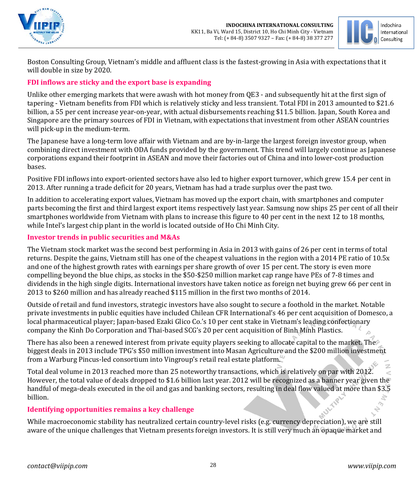



Boston Consulting Group, Vietnam's middle and affluent class is the fastest-growing in Asia with expectations that it will double in size by 2020.

## **FDI inflows are sticky and the export base is expanding**

Unlike other emerging markets that were awash with hot money from QE3 - and subsequently hit at the first sign of tapering - Vietnam benefits from FDI which is relatively sticky and less transient. Total FDI in 2013 amounted to \$21.6 billion, a 55 per cent increase year-on-year, with actual disbursements reaching \$11.5 billion. Japan, South Korea and Singapore are the primary sources of FDI in Vietnam, with expectations that investment from other ASEAN countries will pick-up in the medium-term.

The Japanese have a long-term love affair with Vietnam and are by-in-large the largest foreign investor group, when combining direct investment with ODA funds provided by the government. This trend will largely continue as Japanese corporations expand their footprint in ASEAN and move their factories out of China and into lower-cost production bases.

Positive FDI inflows into export-oriented sectors have also led to higher export turnover, which grew 15.4 per cent in 2013. After running a trade deficit for 20 years, Vietnam has had a trade surplus over the past two.

In addition to accelerating export values, Vietnam has moved up the export chain, with smartphones and computer parts becoming the first and third largest export items respectively last year. Samsung now ships 25 per cent of all their smartphones worldwide from Vietnam with plans to increase this figure to 40 per cent in the next 12 to 18 months, while Intel's largest chip plant in the world is located outside of Ho Chi Minh City.

## **Investor trends in public securities and M&As**

The Vietnam stock market was the second best performing in Asia in 2013 with gains of 26 per cent in terms of total returns. Despite the gains, Vietnam still has one of the cheapest valuations in the region with a 2014 PE ratio of 10.5x and one of the highest growth rates with earnings per share growth of over 15 per cent. The story is even more compelling beyond the blue chips, as stocks in the \$50-\$250 million market cap range have PEs of 7-8 times and dividends in the high single digits. International investors have taken notice as foreign net buying grew 66 per cent in 2013 to \$260 million and has already reached \$115 million in the first two months of 2014.

Outside of retail and fund investors, strategic investors have also sought to secure a foothold in the market. Notable private investments in public equities have included Chilean CFR International's 46 per cent acquisition of Domesco, a local pharmaceutical player; Japan-based Ezaki Glico Co.'s 10 per cent stake in Vietnam's leading confectionary company the Kinh Do Corporation and Thai-based SCG's 20 per cent acquisition of Binh Minh Plastics.

There has also been a renewed interest from private equity players seeking to allocate capital to the market. The biggest deals in 2013 include TPG's \$50 million investment into Masan Agriculture and the \$200 million investment from a Warburg Pincus-led consortium into Vingroup's retail real estate platform.

Total deal volume in 2013 reached more than 25 noteworthy transactions, which is relatively on par with 2012. However, the total value of deals dropped to \$1.6 billion last year. 2012 will be recognized as a banner year given the handful of mega-deals executed in the oil and gas and banking sectors, resulting in deal flow valued at more than \$3.5 billion.

## **Identifying opportunities remains a key challenge**

While macroeconomic stability has neutralized certain country-level risks (e.g. currency depreciation), we are still aware of the unique challenges that Vietnam presents foreign investors. It is still very much an opaque market and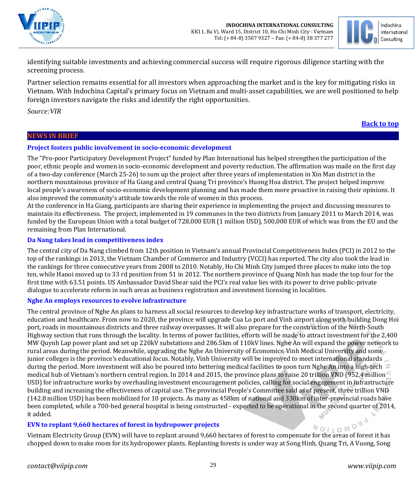



identifying suitable investments and achieving commercial success will require rigorous diligence starting with the screening process.

Partner selection remains essential for all investors when approaching the market and is the key for mitigating risks in Vietnam. With Indochina Capital's primary focus on Vietnam and multi-asset capabilities, we are well positioned to help foreign investors navigate the risks and identify the right opportunities.

*Source:VIR*

#### <span id="page-28-0"></span>**NEWS IN BRIEF**

#### **Project fosters public involvement in socio-economic development**

The "Pro-poor Participatory Development Project" funded by Plan International has helped strengthen the participation of the poor, ethnic people and women in socio-economic development and poverty reduction. The affirmation was made on the first day of a two-day conference (March 25-26) to sum up the project after three years of implementation in Xin Man district in the northern mountainous province of Ha Giang and central Quang Tri province's Huong Hoa district. The project helped improve local people's awareness of socio-economic development planning and has made them more proactive in raising their opinions. It also improved the community's attitude towards the role of women in this process.

At the conference in Ha Giang, participants are sharing their experience in implementing the project and discussing measures to maintain its effectiveness. The project, implemented in 19 communes in the two districts from January 2011 to March 2014, was funded by the European Union with a total budget of 728,000 EUR (1 million USD), 500,000 EUR of which was from the EU and the remaining from Plan International.

#### **Da Nang takes lead in competitiveness index**

The central city of Da Nang climbed from 12th position in Vietnam's annual Provincial Competitiveness Index (PCI) in 2012 to the top of the rankings in 2013, the Vietnam Chamber of Commerce and Industry (VCCI) has reported. The city also took the lead in the rankings for three consecutive years from 2008 to 2010. Notably, Ho Chi Minh City jumped three places to make into the top ten, while Hanoi moved up to 33 rd position from 51 in 2012. The northern province of Quang Ninh has made the top four for the first time with 63.51 points. US Ambassador David Shear said the PCI's real value lies with its power to drive public-private dialogue to accelerate reform in such areas as business registration and investment licensing in localities.

#### **Nghe An employs resources to evolve infrastructure**

The central province of Nghe An plans to harness all social resources to develop key infrastructure works of transport, electricity, education and healthcare. From now to 2020, the province will upgrade Cua Lo port and Vinh airport along with building Dong Hoi port, roads in mountainous districts and three railway overpasses. It will also prepare for the construction of the North-South Highway section that runs through the locality. In terms of power facilities, efforts will be made to attract investment for the 2,400 MW Quynh Lap power plant and set up 220kV substations and 286.5km of 110kV lines. Nghe An will expand the power network to rural areas during the period. Meanwhile, upgrading the Nghe An University of Economics, Vinh Medical University and some junior colleges is the province's educational focus. Notably, Vinh University will be improved to meet international standards during the period. More investment will also be poured into bettering medical facilities to soon turn Nghe An into a high-tech  $\geq$ medical hub of Vietnam's northern central region. In 2014 and 2015, the province plans to raise 20 trillion VND (952.4 million USD) for infrastructure works by overhauling investment encouragement policies, calling for social engagement in infrastructure building and increasing the effectiveness of capital use. The provincial People's Committee said as of present, three trillion VND (142.8 million USD) has been mobilized for 10 projects. As many as 458km of national and 330km of inter-provincial roads have been completed, while a 700-bed general hospital is being constructed - expected to be operational in the second quarter of 2014, it added.

#### **EVN to replant 9,660 hectares of forest in hydropower projects**

EVIN LO FEDIANT 9,660 hectares of forest in hydropower projects<br>Vietnam Electricity Group (EVN) will have to replant around 9,660 hectares of forest to compensate for the areas of forest it has chopped down to make room for its hydropower plants. Replanting forests is under way at Song Hinh, Quang Tri, A Vuong, Song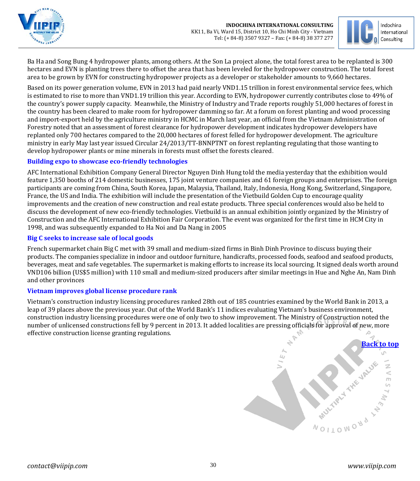

Ba Ha and Song Bung 4 hydropower plants, among others. At the Son La project alone, the total forest area to be replanted is 300 hectares and EVN is planting trees there to offset the area that has been leveled for the hydropower construction. The total forest area to be grown by EVN for constructing hydropower projects as a developer or stakeholder amounts to 9,660 hectares.

Based on its power generation volume, EVN in 2013 had paid nearly VND1.15 trillion in forest environmental service fees, which is estimated to rise to more than VND1.19 trillion this year. According to EVN, hydropower currently contributes close to 49% of the country's power supply capacity. Meanwhile, the Ministry of Industry and Trade reports roughly 51,000 hectares of forest in the country has been cleared to make room for hydropower damming so far. At a forum on forest planting and wood processing and import-export held by the agriculture ministry in HCMC in March last year, an official from the Vietnam Administration of Forestry noted that an assessment of forest clearance for hydropower development indicates hydropower developers have replanted only 700 hectares compared to the 20,000 hectares of forest felled for hydropower development. The agriculture ministry in early May last year issued Circular 24/2013/TT-BNNPTNT on forest replanting regulating that those wanting to develop hydropower plants or mine minerals in forests must offset the forests cleared.

#### **Building expo to showcase eco-friendly technologies**

AFC International Exhibition Company General Director Nguyen Dinh Hung told the media yesterday that the exhibition would feature 1,350 booths of 214 domestic businesses, 175 joint venture companies and 61 foreign groups and enterprises. The foreign participants are coming from China, South Korea, Japan, Malaysia, Thailand, Italy, Indonesia, Hong Kong, Switzerland, Singapore, France, the US and India. The exhibition will include the presentation of the Vietbuild Golden Cup to encourage quality improvements and the creation of new construction and real estate products. Three special conferences would also be held to discuss the development of new eco-friendly technologies. Vietbuild is an annual exhibition jointly organized by the Ministry of Construction and the AFC International Exhibition Fair Corporation. The event was organized for the first time in HCM City in 1998, and was subsequently expanded to Ha Noi and Da Nang in 2005

#### **Big C seeks to increase sale of local goods**

French supermarket chain Big C met with 39 small and medium-sized firms in Binh Dinh Province to discuss buying their products. The companies specialize in indoor and outdoor furniture, handicrafts, processed foods, seafood and seafood products, beverages, meat and safe vegetables. The supermarket is making efforts to increase its local sourcing. It signed deals worth around VND106 billion (US\$5 million) with 110 small and medium-sized producers after similar meetings in Hue and Nghe An, Nam Dinh and other provinces

#### **Vietnam improves global license procedure rank**

Vietnam's construction industry licensing procedures ranked 28th out of 185 countries examined by the World Bank in 2013, a leap of 39 places above the previous year. Out of the World Bank's 11 indices evaluating Vietnam's business environment, construction industry licensing procedures were one of only two to show improvement. The Ministry of Construction noted the number of unlicensed constructions fell by 9 percent in 2013. It added localities are pressing officials for approval of new, more effective construction license granting regulations.

**Back to top**

NOITOMO<sub>RO</sub>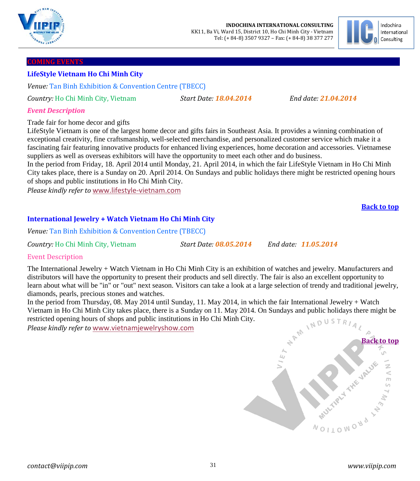



#### <span id="page-30-0"></span>**COMING EVENTS**

#### **LifeStyle Vietnam Ho Chi Minh City**

*Venue:* Tan Binh Exhibition & Convention Centre (TBECC)

*Country:* Ho Chi Minh City, Vietnam *Start Date: 18.04.2014 End date: 21.04.2014*

#### *Event Description*

Trade fair for home decor and gifts

LifeStyle Vietnam is one of the largest home decor and gifts fairs in Southeast Asia. It provides a winning combination of exceptional creativity, fine craftsmanship, well-selected merchandise, and personalized customer service which make it a fascinating fair featuring innovative products for enhanced living experiences, home decoration and accessories. Vietnamese suppliers as well as overseas exhibitors will have the opportunity to meet each other and do business.

In the period from Friday, 18. April 2014 until Monday, 21. April 2014, in which the fair LifeStyle Vietnam in Ho Chi Minh City takes place, there is a Sunday on 20. April 2014. On Sundays and public holidays there might be restricted opening hours of shops and public institutions in Ho Chi Minh City.

*Please kindly refer to* [www.lifestyle-vietnam.com](http://www.lifestyle-vietnam.com/)

#### **Back to top**

#### <span id="page-30-1"></span>**International Jewelry + Watch Vietnam Ho Chi Minh City**

*Venue:* Tan Binh Exhibition & Convention Centre (TBECC)

*Country:* Ho Chi Minh City, Vietnam *Start Date: 08.05.2014 End date: 11.05.2014*

#### Event Description

The International Jewelry + Watch Vietnam in Ho Chi Minh City is an exhibition of watches and jewelry. Manufacturers and distributors will have the opportunity to present their products and sell directly. The fair is also an excellent opportunity to learn about what will be "in" or "out" next season. Visitors can take a look at a large selection of trendy and traditional jewelry, diamonds, pearls, precious stones and watches.

In the period from Thursday, 08. May 2014 until Sunday, 11. May 2014, in which the fair International Jewelry + Watch Vietnam in Ho Chi Minh City takes place, there is a Sunday on 11. May 2014. On Sundays and public holidays there might be restricted opening hours of shops and public institutions in Ho Chi Minh City.

*Please kindly refer to* [www.vietnamjewelryshow.com](http://www.vietnamjewelryshow.com/)

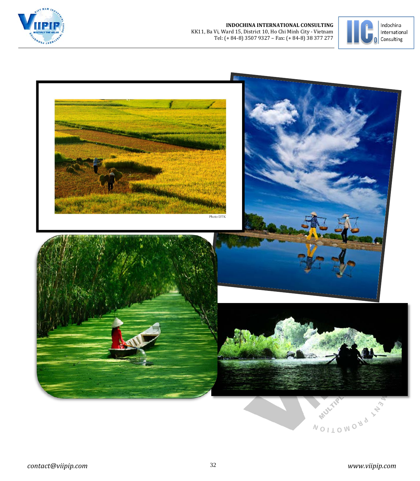

#### **INDOCHINA INTERNATIONAL CONSULTING**  KK11, Ba Vi, Ward 15, District 10, Ho Chi Minh City - Vietnam Tel: (+ 84-8) 3507 9327 – Fax: (+ 84-8) 38 377 277